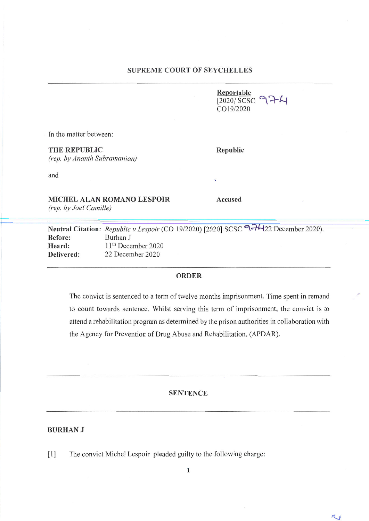**Reportable**  $2020$ ] SCSC 974 *e019/2020*

!'

 $\sim$ 

In the matter between:

### **THE REPUBLIC Republic**

*(rep. by Ananth Subramanian)*

and

**MICHEL ALAN ROMANO LESPOIR Accused**

*(rep. by Joel Camille)* 

*Republic v Lespoir* (CO 19/2020) [2020] SCSC 974422 December 2020). Burhan J 11<sup>th</sup> December 2020 22 December 2020 **Before: Heard: Delivered:**

## **ORDER**

The convict is sentenced to a term of twelve months imprisonment. Time spent in remand to count towards sentence. Whilst serving this term of imprisonment, the convict is to attend a rehabilitation program as determined by the prison authorities in collaboration with the Agency for Prevention of Drug Abuse and Rehabilitation. (APDAR).

### **SENTENCE**

#### **BURHANJ**

**[1]** The convict Michel Lespoir pleaded guilty to the following charge:

1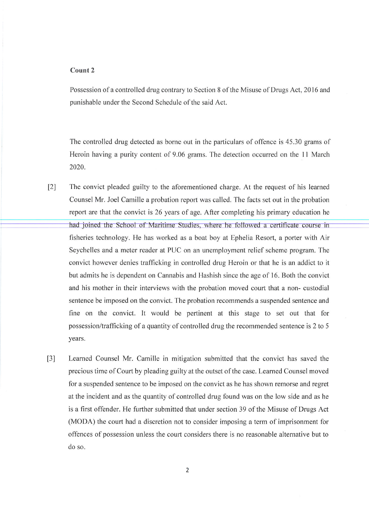# **Count2**

Possession of a controlled drug contrary to Section 8 of the Misuse of Drugs Act, 2016 and punishable under the Second Schedule of the said Act.

The controlled drug detected as borne out in the particulars of offence is 45.30 grams of Heroin having a purity content of 9.06 grams. The detection occurred on the 11 March 2020.

- had joined the School of Maritime Studies, where he followed a certificate course in fisheries technology. He has worked as a boat boy at Ephelia Resort, a porter with Air Seychelles and a meter reader at PUC on an unemployment relief scheme program. The convict however denies trafficking in controlled drug Heroin or that he is an addict to it but admits he is dependent on Cannabis and Hashish since the age of 16. Both the convict and his mother in their interviews with the probation moved court that a non- custodial sentence be imposed on the convict. The probation recommends a suspended sentence and fine on the convict. It would be pertinent at this stage to set out that for possession/trafficking of a quantity of controlled drug the recommended sentence is 2 to 5 years. [2] The convict pleaded guilty to the aforementioned charge. At the request of his learned Counsel Mr. Joel Camille a probation report was called. The facts set out in the probation report are that the convict is 26 years of age. After completing his primary education he
- [3] Learned Counsel Mr. Camille in mitigation submitted that the convict has saved the precious time of Court by pleading guilty at the outset of the case. Learned Counsel moved for a suspended sentence to be imposed on the convict as he has shown remorse and regret at the incident and as the quantity of controlled drug found was on the low side and as he is a first offender. He further submitted that under section 39 of the Misuse of Drugs Act (MODA) the court had a discretion not to consider imposing a term of imprisonment for offences of possession unless the court considers there is no reasonable alternative but to do so.